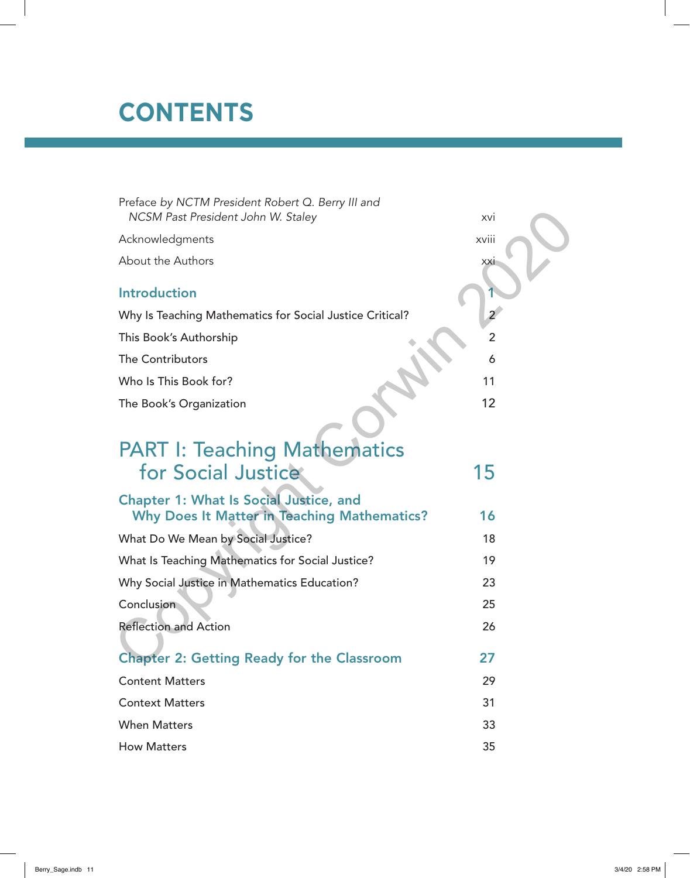## **CONTENTS**

| Preface by NCTM President Robert Q. Berry III and<br>NCSM Past President John W. Staley             | xvi   |
|-----------------------------------------------------------------------------------------------------|-------|
| Acknowledgments                                                                                     | xviii |
| About the Authors                                                                                   | XXI   |
| <b>Introduction</b>                                                                                 |       |
| Why Is Teaching Mathematics for Social Justice Critical?                                            |       |
| This Book's Authorship                                                                              | 2     |
| The Contributors                                                                                    | 6     |
| Who Is This Book for?                                                                               | 11    |
| The Book's Organization                                                                             | 12    |
|                                                                                                     |       |
| <b>PART I: Teaching Mathematics</b>                                                                 |       |
| for Social Justice                                                                                  | 15    |
| <b>Chapter 1: What Is Social Justice, and</b><br><b>Why Does It Matter in Teaching Mathematics?</b> | 16    |
| What Do We Mean by Social Justice?                                                                  | 18    |
| What Is Teaching Mathematics for Social Justice?                                                    | 19    |
| Why Social Justice in Mathematics Education?                                                        | 23    |
| Conclusion                                                                                          | 25    |
| <b>Reflection and Action</b>                                                                        | 26    |
| <b>Chapter 2: Getting Ready for the Classroom</b>                                                   | 27    |
| <b>Content Matters</b>                                                                              | 29    |
| <b>Context Matters</b>                                                                              | 31    |
| <b>When Matters</b>                                                                                 | 33    |
| <b>How Matters</b>                                                                                  | 35    |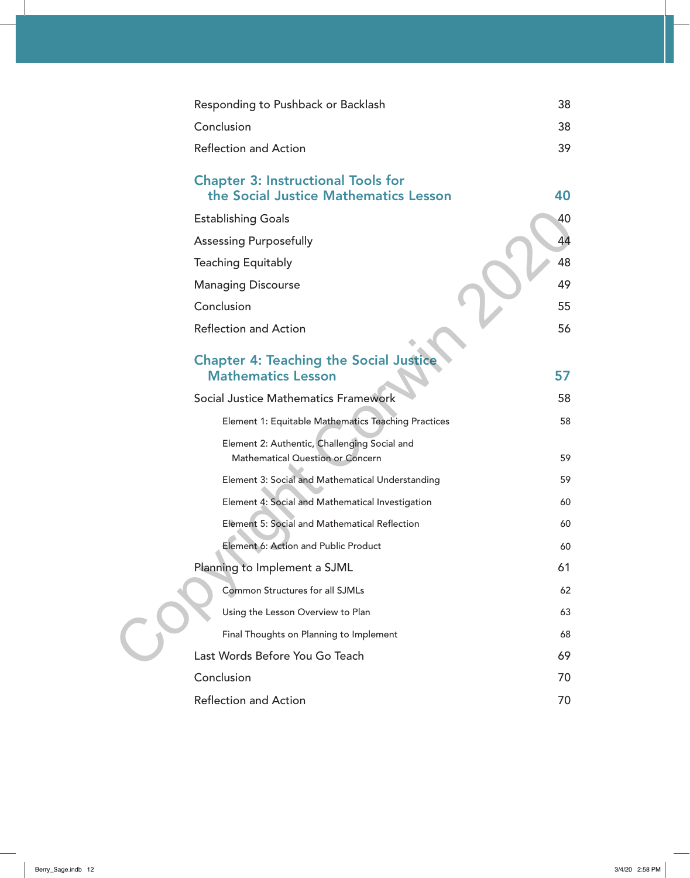| Responding to Pushback or Backlash                                                 | 38 |
|------------------------------------------------------------------------------------|----|
| Conclusion                                                                         | 38 |
| <b>Reflection and Action</b>                                                       | 39 |
| <b>Chapter 3: Instructional Tools for</b><br>the Social Justice Mathematics Lesson | 40 |
| <b>Establishing Goals</b>                                                          | 40 |
| <b>Assessing Purposefully</b>                                                      | 44 |
| <b>Teaching Equitably</b>                                                          | 48 |
| <b>Managing Discourse</b>                                                          | 49 |
| Conclusion                                                                         | 55 |
| <b>Reflection and Action</b>                                                       | 56 |
| <b>Chapter 4: Teaching the Social Justice</b><br><b>Mathematics Lesson</b>         | 57 |
| Social Justice Mathematics Framework                                               | 58 |
| Element 1: Equitable Mathematics Teaching Practices                                | 58 |
| Element 2: Authentic, Challenging Social and<br>Mathematical Question or Concern   | 59 |
| Element 3: Social and Mathematical Understanding                                   | 59 |
| Element 4: Social and Mathematical Investigation                                   | 60 |
| Element 5: Social and Mathematical Reflection                                      | 60 |
| Element 6: Action and Public Product                                               | 60 |
| Planning to Implement a SJML                                                       | 61 |
| Common Structures for all SJMLs                                                    | 62 |
| Using the Lesson Overview to Plan                                                  | 63 |
| Final Thoughts on Planning to Implement                                            | 68 |
| Last Words Before You Go Teach                                                     | 69 |
| Conclusion                                                                         | 70 |
| <b>Reflection and Action</b>                                                       | 70 |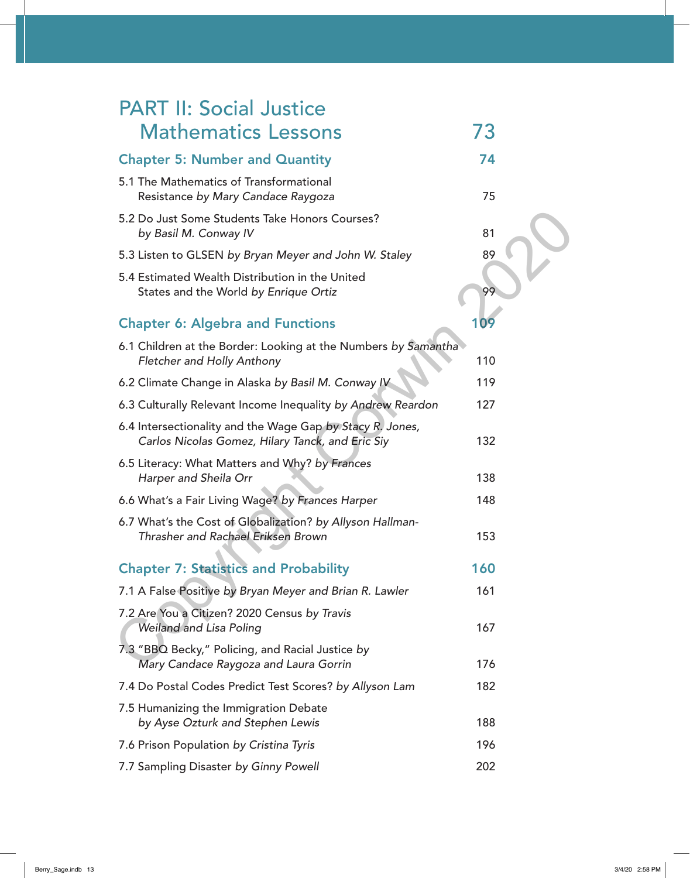| <b>PART II: Social Justice</b>                                                                                |     |
|---------------------------------------------------------------------------------------------------------------|-----|
| <b>Mathematics Lessons</b>                                                                                    | 73  |
| <b>Chapter 5: Number and Quantity</b>                                                                         | 74  |
| 5.1 The Mathematics of Transformational<br>Resistance by Mary Candace Raygoza                                 | 75  |
| 5.2 Do Just Some Students Take Honors Courses?<br>by Basil M. Conway IV                                       | 81  |
| 5.3 Listen to GLSEN by Bryan Meyer and John W. Staley                                                         | 89  |
| 5.4 Estimated Wealth Distribution in the United<br>States and the World by Enrique Ortiz                      | 99  |
| <b>Chapter 6: Algebra and Functions</b>                                                                       | 109 |
| 6.1 Children at the Border: Looking at the Numbers by Samantha<br>Fletcher and Holly Anthony                  | 110 |
| 6.2 Climate Change in Alaska by Basil M. Conway IV                                                            | 119 |
| 6.3 Culturally Relevant Income Inequality by Andrew Reardon                                                   | 127 |
| 6.4 Intersectionality and the Wage Gap by Stacy R. Jones,<br>Carlos Nicolas Gomez, Hilary Tanck, and Eric Siy | 132 |
| 6.5 Literacy: What Matters and Why? by Frances<br>Harper and Sheila Orr                                       | 138 |
| 6.6 What's a Fair Living Wage? by Frances Harper                                                              | 148 |
| 6.7 What's the Cost of Globalization? by Allyson Hallman-<br>Thrasher and Rachael Eriksen Brown               | 153 |
| <b>Chapter 7: Statistics and Probability</b>                                                                  | 160 |
| 7.1 A False Positive by Bryan Meyer and Brian R. Lawler                                                       | 161 |
| 7.2 Are You a Citizen? 2020 Census by Travis<br><b>Weiland and Lisa Poling</b>                                | 167 |
| 7.3 "BBQ Becky," Policing, and Racial Justice by<br>Mary Candace Raygoza and Laura Gorrin                     | 176 |
| 7.4 Do Postal Codes Predict Test Scores? by Allyson Lam                                                       | 182 |
| 7.5 Humanizing the Immigration Debate<br>by Ayse Ozturk and Stephen Lewis                                     | 188 |
| 7.6 Prison Population by Cristina Tyris                                                                       | 196 |
| 7.7 Sampling Disaster by Ginny Powell                                                                         | 202 |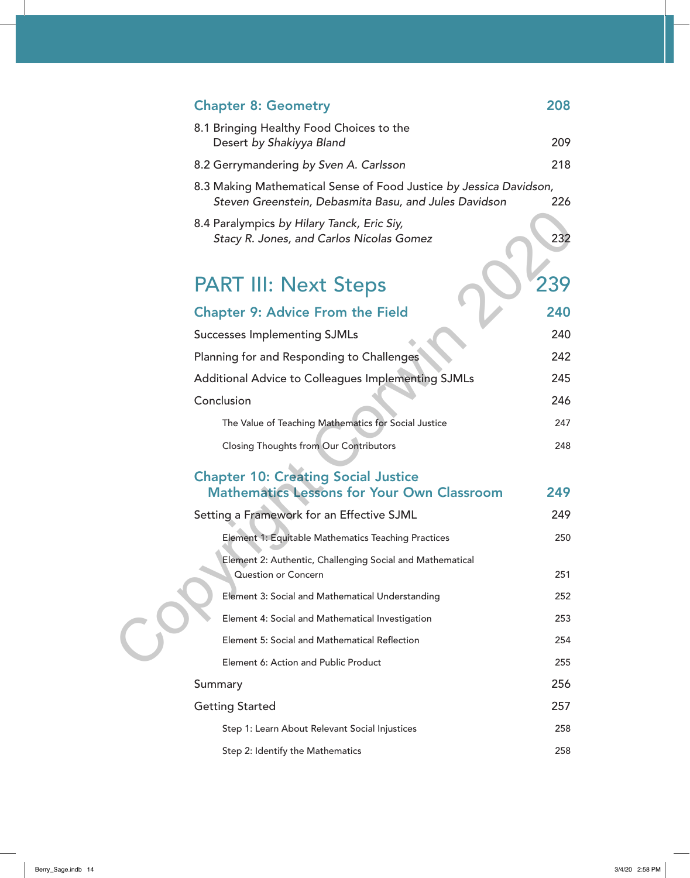| <b>Chapter 8: Geometry</b>                                                                                                  | 208 |
|-----------------------------------------------------------------------------------------------------------------------------|-----|
| 8.1 Bringing Healthy Food Choices to the<br>Desert by Shakiyya Bland                                                        | 209 |
| 8.2 Gerrymandering by Sven A. Carlsson                                                                                      | 218 |
| 8.3 Making Mathematical Sense of Food Justice by Jessica Davidson,<br>Steven Greenstein, Debasmita Basu, and Jules Davidson | 226 |
| 8.4 Paralympics by Hilary Tanck, Eric Siy,<br>Stacy R. Jones, and Carlos Nicolas Gomez                                      | 232 |
| <b>PART III: Next Steps</b>                                                                                                 |     |
| <b>Chapter 9: Advice From the Field</b>                                                                                     | 240 |
| <b>Successes Implementing SJMLs</b>                                                                                         | 240 |
| Planning for and Responding to Challenges                                                                                   | 242 |
| Additional Advice to Colleagues Implementing SJMLs                                                                          | 245 |
| Conclusion                                                                                                                  | 246 |
| The Value of Teaching Mathematics for Social Justice                                                                        | 247 |
| <b>Closing Thoughts from Our Contributors</b>                                                                               | 248 |
| <b>Chapter 10: Creating Social Justice</b><br><b>Mathematics Lessons for Your Own Classroom</b>                             | 249 |
| Setting a Framework for an Effective SJML                                                                                   | 249 |
| Element 1: Equitable Mathematics Teaching Practices                                                                         | 250 |
| Element 2: Authentic, Challenging Social and Mathematical<br>Question or Concern                                            | 251 |
| Element 3: Social and Mathematical Understanding                                                                            | 252 |
| Element 4: Social and Mathematical Investigation                                                                            | 253 |
| Element 5: Social and Mathematical Reflection                                                                               | 254 |
| Element 6: Action and Public Product                                                                                        | 255 |
| Summary                                                                                                                     | 256 |
| <b>Getting Started</b>                                                                                                      | 257 |
| Step 1: Learn About Relevant Social Injustices                                                                              | 258 |
| Step 2: Identify the Mathematics                                                                                            | 258 |